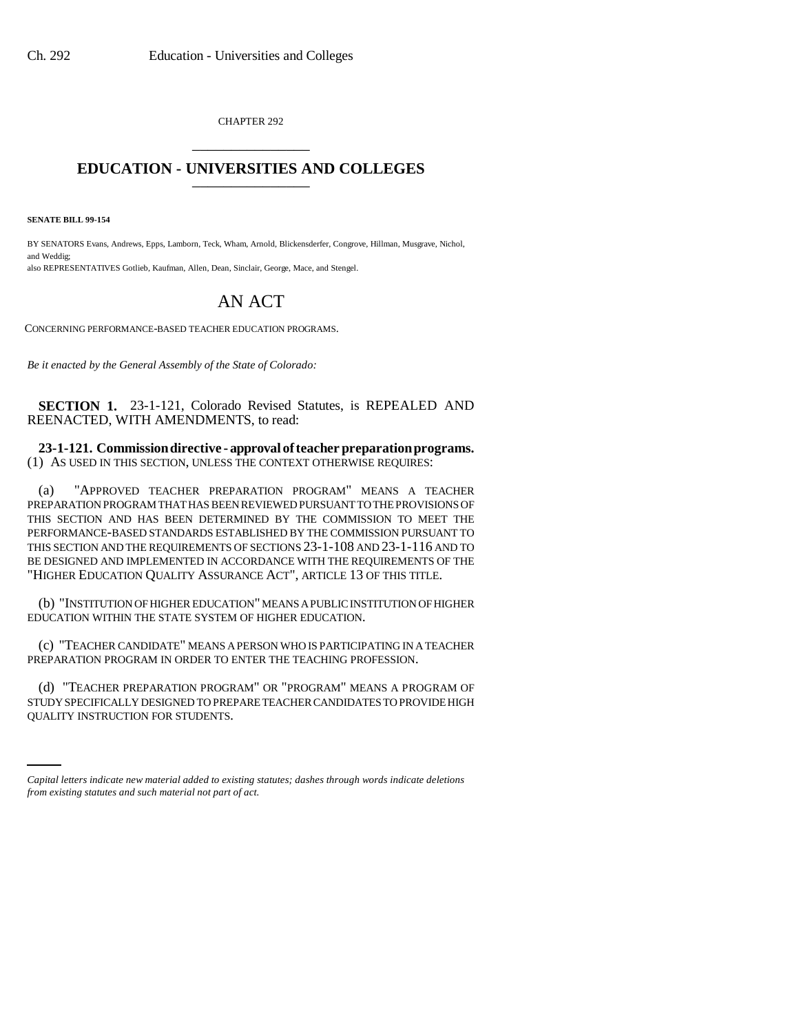CHAPTER 292 \_\_\_\_\_\_\_\_\_\_\_\_\_\_\_

## **EDUCATION - UNIVERSITIES AND COLLEGES** \_\_\_\_\_\_\_\_\_\_\_\_\_\_\_

**SENATE BILL 99-154**

BY SENATORS Evans, Andrews, Epps, Lamborn, Teck, Wham, Arnold, Blickensderfer, Congrove, Hillman, Musgrave, Nichol, and Weddig; also REPRESENTATIVES Gotlieb, Kaufman, Allen, Dean, Sinclair, George, Mace, and Stengel.

## AN ACT

CONCERNING PERFORMANCE-BASED TEACHER EDUCATION PROGRAMS.

*Be it enacted by the General Assembly of the State of Colorado:*

**SECTION 1.** 23-1-121, Colorado Revised Statutes, is REPEALED AND REENACTED, WITH AMENDMENTS, to read:

**23-1-121. Commission directive - approval of teacher preparation programs.** (1) AS USED IN THIS SECTION, UNLESS THE CONTEXT OTHERWISE REQUIRES:

(a) "APPROVED TEACHER PREPARATION PROGRAM" MEANS A TEACHER PREPARATION PROGRAM THAT HAS BEEN REVIEWED PURSUANT TO THE PROVISIONS OF THIS SECTION AND HAS BEEN DETERMINED BY THE COMMISSION TO MEET THE PERFORMANCE-BASED STANDARDS ESTABLISHED BY THE COMMISSION PURSUANT TO THIS SECTION AND THE REQUIREMENTS OF SECTIONS 23-1-108 AND 23-1-116 AND TO BE DESIGNED AND IMPLEMENTED IN ACCORDANCE WITH THE REQUIREMENTS OF THE "HIGHER EDUCATION QUALITY ASSURANCE ACT", ARTICLE 13 OF THIS TITLE.

(b) "INSTITUTION OF HIGHER EDUCATION" MEANS A PUBLIC INSTITUTION OF HIGHER EDUCATION WITHIN THE STATE SYSTEM OF HIGHER EDUCATION.

(c) "TEACHER CANDIDATE" MEANS A PERSON WHO IS PARTICIPATING IN A TEACHER PREPARATION PROGRAM IN ORDER TO ENTER THE TEACHING PROFESSION.

STUDY SPECIFICALLY DESIGNED TO PREPARE TEACHER CANDIDATES TO PROVIDE HIGH (d) "TEACHER PREPARATION PROGRAM" OR "PROGRAM" MEANS A PROGRAM OF QUALITY INSTRUCTION FOR STUDENTS.

*Capital letters indicate new material added to existing statutes; dashes through words indicate deletions from existing statutes and such material not part of act.*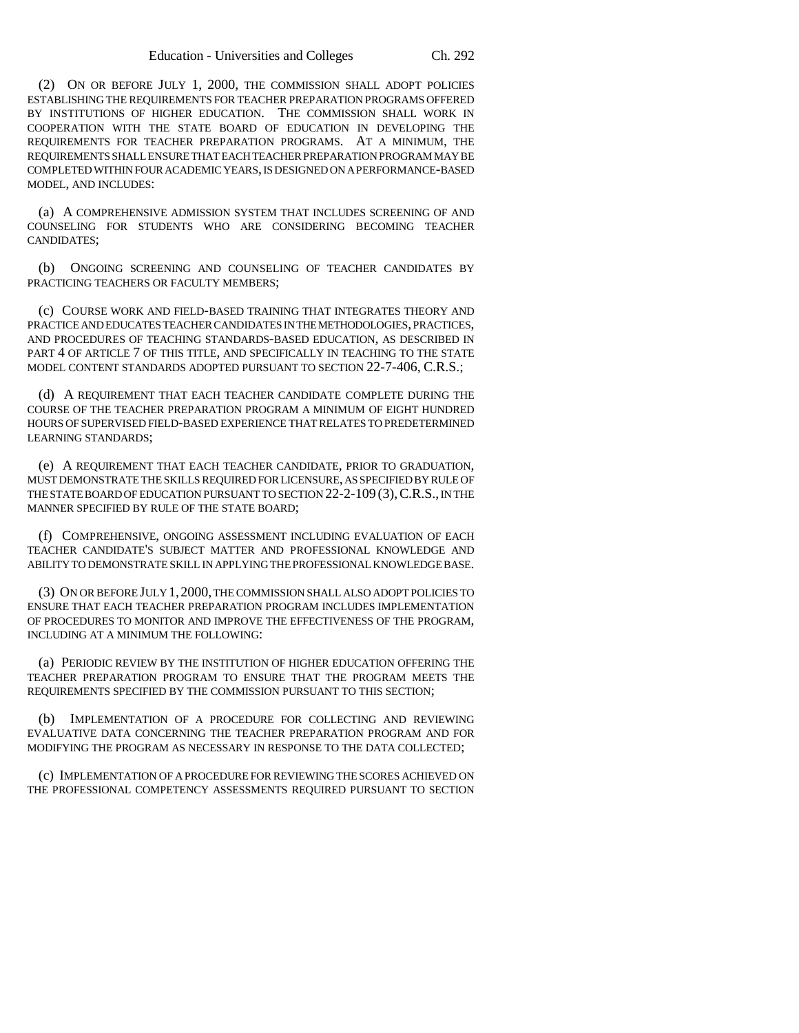(2) ON OR BEFORE JULY 1, 2000, THE COMMISSION SHALL ADOPT POLICIES ESTABLISHING THE REQUIREMENTS FOR TEACHER PREPARATION PROGRAMS OFFERED BY INSTITUTIONS OF HIGHER EDUCATION. THE COMMISSION SHALL WORK IN COOPERATION WITH THE STATE BOARD OF EDUCATION IN DEVELOPING THE REQUIREMENTS FOR TEACHER PREPARATION PROGRAMS. AT A MINIMUM, THE REQUIREMENTS SHALL ENSURE THAT EACH TEACHER PREPARATION PROGRAM MAY BE COMPLETED WITHIN FOUR ACADEMIC YEARS, IS DESIGNED ON A PERFORMANCE-BASED MODEL, AND INCLUDES:

(a) A COMPREHENSIVE ADMISSION SYSTEM THAT INCLUDES SCREENING OF AND COUNSELING FOR STUDENTS WHO ARE CONSIDERING BECOMING TEACHER CANDIDATES;

(b) ONGOING SCREENING AND COUNSELING OF TEACHER CANDIDATES BY PRACTICING TEACHERS OR FACULTY MEMBERS;

(c) COURSE WORK AND FIELD-BASED TRAINING THAT INTEGRATES THEORY AND PRACTICE AND EDUCATES TEACHER CANDIDATES IN THE METHODOLOGIES, PRACTICES, AND PROCEDURES OF TEACHING STANDARDS-BASED EDUCATION, AS DESCRIBED IN PART 4 OF ARTICLE 7 OF THIS TITLE, AND SPECIFICALLY IN TEACHING TO THE STATE MODEL CONTENT STANDARDS ADOPTED PURSUANT TO SECTION 22-7-406, C.R.S.;

(d) A REQUIREMENT THAT EACH TEACHER CANDIDATE COMPLETE DURING THE COURSE OF THE TEACHER PREPARATION PROGRAM A MINIMUM OF EIGHT HUNDRED HOURS OF SUPERVISED FIELD-BASED EXPERIENCE THAT RELATES TO PREDETERMINED LEARNING STANDARDS;

(e) A REQUIREMENT THAT EACH TEACHER CANDIDATE, PRIOR TO GRADUATION, MUST DEMONSTRATE THE SKILLS REQUIRED FOR LICENSURE, AS SPECIFIED BY RULE OF THE STATE BOARD OF EDUCATION PURSUANT TO SECTION 22-2-109 (3), C.R.S., IN THE MANNER SPECIFIED BY RULE OF THE STATE BOARD;

(f) COMPREHENSIVE, ONGOING ASSESSMENT INCLUDING EVALUATION OF EACH TEACHER CANDIDATE'S SUBJECT MATTER AND PROFESSIONAL KNOWLEDGE AND ABILITY TO DEMONSTRATE SKILL IN APPLYING THE PROFESSIONAL KNOWLEDGE BASE.

(3) ON OR BEFORE JULY 1,2000, THE COMMISSION SHALL ALSO ADOPT POLICIES TO ENSURE THAT EACH TEACHER PREPARATION PROGRAM INCLUDES IMPLEMENTATION OF PROCEDURES TO MONITOR AND IMPROVE THE EFFECTIVENESS OF THE PROGRAM, INCLUDING AT A MINIMUM THE FOLLOWING:

(a) PERIODIC REVIEW BY THE INSTITUTION OF HIGHER EDUCATION OFFERING THE TEACHER PREPARATION PROGRAM TO ENSURE THAT THE PROGRAM MEETS THE REQUIREMENTS SPECIFIED BY THE COMMISSION PURSUANT TO THIS SECTION;

(b) IMPLEMENTATION OF A PROCEDURE FOR COLLECTING AND REVIEWING EVALUATIVE DATA CONCERNING THE TEACHER PREPARATION PROGRAM AND FOR MODIFYING THE PROGRAM AS NECESSARY IN RESPONSE TO THE DATA COLLECTED;

(c) IMPLEMENTATION OF A PROCEDURE FOR REVIEWING THE SCORES ACHIEVED ON THE PROFESSIONAL COMPETENCY ASSESSMENTS REQUIRED PURSUANT TO SECTION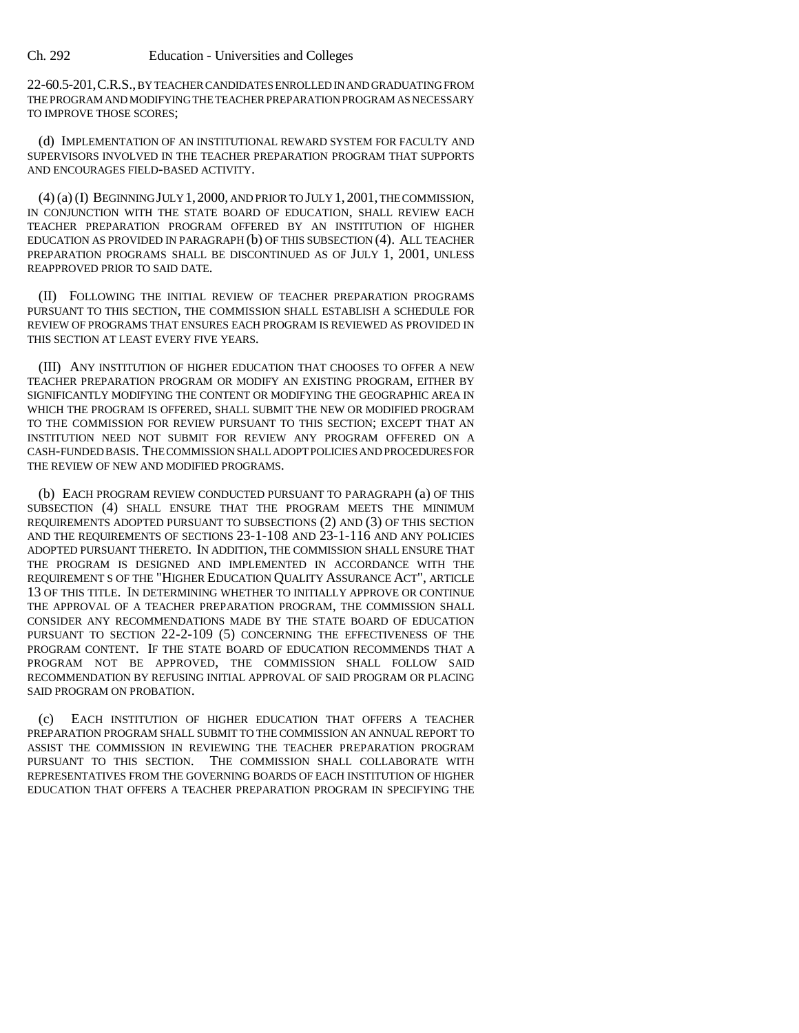22-60.5-201,C.R.S., BY TEACHER CANDIDATES ENROLLED IN AND GRADUATING FROM THE PROGRAM AND MODIFYING THE TEACHER PREPARATION PROGRAM AS NECESSARY TO IMPROVE THOSE SCORES;

(d) IMPLEMENTATION OF AN INSTITUTIONAL REWARD SYSTEM FOR FACULTY AND SUPERVISORS INVOLVED IN THE TEACHER PREPARATION PROGRAM THAT SUPPORTS AND ENCOURAGES FIELD-BASED ACTIVITY.

(4) (a) (I) BEGINNING JULY 1,2000, AND PRIOR TO JULY 1, 2001, THE COMMISSION, IN CONJUNCTION WITH THE STATE BOARD OF EDUCATION, SHALL REVIEW EACH TEACHER PREPARATION PROGRAM OFFERED BY AN INSTITUTION OF HIGHER EDUCATION AS PROVIDED IN PARAGRAPH (b) OF THIS SUBSECTION (4). ALL TEACHER PREPARATION PROGRAMS SHALL BE DISCONTINUED AS OF JULY 1, 2001, UNLESS REAPPROVED PRIOR TO SAID DATE.

(II) FOLLOWING THE INITIAL REVIEW OF TEACHER PREPARATION PROGRAMS PURSUANT TO THIS SECTION, THE COMMISSION SHALL ESTABLISH A SCHEDULE FOR REVIEW OF PROGRAMS THAT ENSURES EACH PROGRAM IS REVIEWED AS PROVIDED IN THIS SECTION AT LEAST EVERY FIVE YEARS.

(III) ANY INSTITUTION OF HIGHER EDUCATION THAT CHOOSES TO OFFER A NEW TEACHER PREPARATION PROGRAM OR MODIFY AN EXISTING PROGRAM, EITHER BY SIGNIFICANTLY MODIFYING THE CONTENT OR MODIFYING THE GEOGRAPHIC AREA IN WHICH THE PROGRAM IS OFFERED, SHALL SUBMIT THE NEW OR MODIFIED PROGRAM TO THE COMMISSION FOR REVIEW PURSUANT TO THIS SECTION; EXCEPT THAT AN INSTITUTION NEED NOT SUBMIT FOR REVIEW ANY PROGRAM OFFERED ON A CASH-FUNDED BASIS. THE COMMISSION SHALL ADOPT POLICIES AND PROCEDURES FOR THE REVIEW OF NEW AND MODIFIED PROGRAMS.

(b) EACH PROGRAM REVIEW CONDUCTED PURSUANT TO PARAGRAPH (a) OF THIS SUBSECTION (4) SHALL ENSURE THAT THE PROGRAM MEETS THE MINIMUM REQUIREMENTS ADOPTED PURSUANT TO SUBSECTIONS (2) AND (3) OF THIS SECTION AND THE REQUIREMENTS OF SECTIONS 23-1-108 AND 23-1-116 AND ANY POLICIES ADOPTED PURSUANT THERETO. IN ADDITION, THE COMMISSION SHALL ENSURE THAT THE PROGRAM IS DESIGNED AND IMPLEMENTED IN ACCORDANCE WITH THE REQUIREMENT S OF THE "HIGHER EDUCATION QUALITY ASSURANCE ACT", ARTICLE 13 OF THIS TITLE. IN DETERMINING WHETHER TO INITIALLY APPROVE OR CONTINUE THE APPROVAL OF A TEACHER PREPARATION PROGRAM, THE COMMISSION SHALL CONSIDER ANY RECOMMENDATIONS MADE BY THE STATE BOARD OF EDUCATION PURSUANT TO SECTION 22-2-109 (5) CONCERNING THE EFFECTIVENESS OF THE PROGRAM CONTENT. IF THE STATE BOARD OF EDUCATION RECOMMENDS THAT A PROGRAM NOT BE APPROVED, THE COMMISSION SHALL FOLLOW SAID RECOMMENDATION BY REFUSING INITIAL APPROVAL OF SAID PROGRAM OR PLACING SAID PROGRAM ON PROBATION.

(c) EACH INSTITUTION OF HIGHER EDUCATION THAT OFFERS A TEACHER PREPARATION PROGRAM SHALL SUBMIT TO THE COMMISSION AN ANNUAL REPORT TO ASSIST THE COMMISSION IN REVIEWING THE TEACHER PREPARATION PROGRAM PURSUANT TO THIS SECTION. THE COMMISSION SHALL COLLABORATE WITH REPRESENTATIVES FROM THE GOVERNING BOARDS OF EACH INSTITUTION OF HIGHER EDUCATION THAT OFFERS A TEACHER PREPARATION PROGRAM IN SPECIFYING THE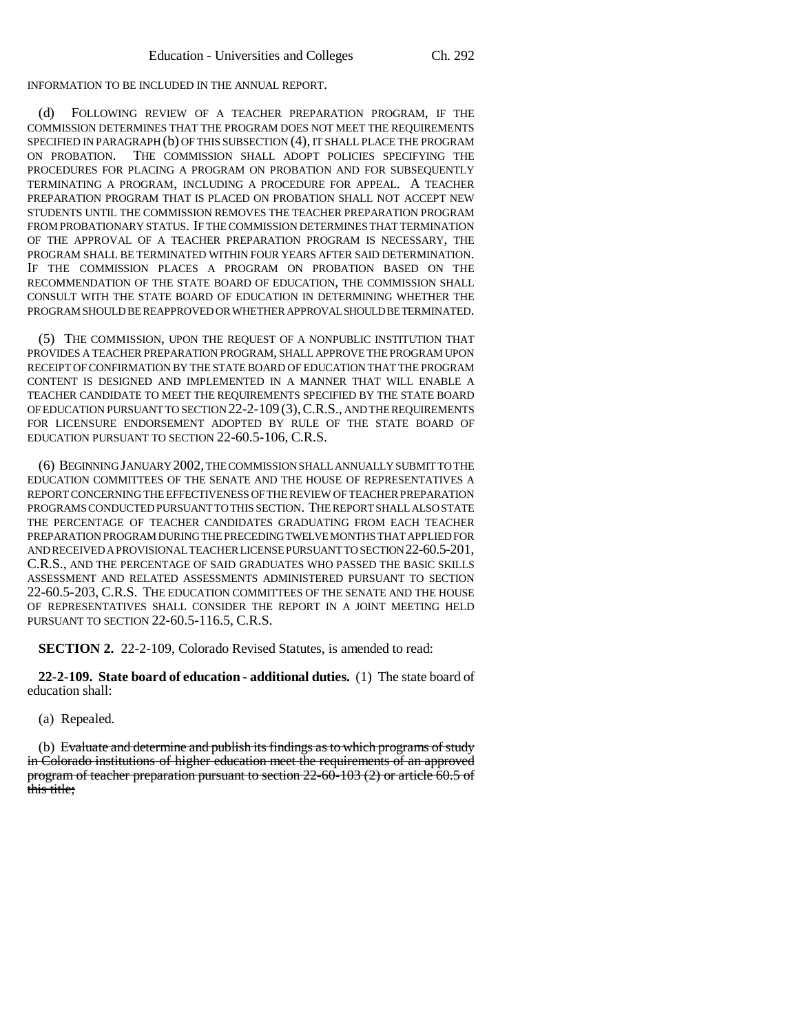INFORMATION TO BE INCLUDED IN THE ANNUAL REPORT.

(d) FOLLOWING REVIEW OF A TEACHER PREPARATION PROGRAM, IF THE COMMISSION DETERMINES THAT THE PROGRAM DOES NOT MEET THE REQUIREMENTS SPECIFIED IN PARAGRAPH (b) OF THIS SUBSECTION (4), IT SHALL PLACE THE PROGRAM ON PROBATION. THE COMMISSION SHALL ADOPT POLICIES SPECIFYING THE PROCEDURES FOR PLACING A PROGRAM ON PROBATION AND FOR SUBSEQUENTLY TERMINATING A PROGRAM, INCLUDING A PROCEDURE FOR APPEAL. A TEACHER PREPARATION PROGRAM THAT IS PLACED ON PROBATION SHALL NOT ACCEPT NEW STUDENTS UNTIL THE COMMISSION REMOVES THE TEACHER PREPARATION PROGRAM FROM PROBATIONARY STATUS. IF THE COMMISSION DETERMINES THAT TERMINATION OF THE APPROVAL OF A TEACHER PREPARATION PROGRAM IS NECESSARY, THE PROGRAM SHALL BE TERMINATED WITHIN FOUR YEARS AFTER SAID DETERMINATION. IF THE COMMISSION PLACES A PROGRAM ON PROBATION BASED ON THE RECOMMENDATION OF THE STATE BOARD OF EDUCATION, THE COMMISSION SHALL CONSULT WITH THE STATE BOARD OF EDUCATION IN DETERMINING WHETHER THE PROGRAM SHOULD BE REAPPROVED OR WHETHER APPROVAL SHOULD BE TERMINATED.

(5) THE COMMISSION, UPON THE REQUEST OF A NONPUBLIC INSTITUTION THAT PROVIDES A TEACHER PREPARATION PROGRAM, SHALL APPROVE THE PROGRAM UPON RECEIPT OF CONFIRMATION BY THE STATE BOARD OF EDUCATION THAT THE PROGRAM CONTENT IS DESIGNED AND IMPLEMENTED IN A MANNER THAT WILL ENABLE A TEACHER CANDIDATE TO MEET THE REQUIREMENTS SPECIFIED BY THE STATE BOARD OF EDUCATION PURSUANT TO SECTION 22-2-109 (3),C.R.S., AND THE REQUIREMENTS FOR LICENSURE ENDORSEMENT ADOPTED BY RULE OF THE STATE BOARD OF EDUCATION PURSUANT TO SECTION 22-60.5-106, C.R.S.

(6) BEGINNING JANUARY 2002, THE COMMISSION SHALL ANNUALLY SUBMIT TO THE EDUCATION COMMITTEES OF THE SENATE AND THE HOUSE OF REPRESENTATIVES A REPORT CONCERNING THE EFFECTIVENESS OF THE REVIEW OF TEACHER PREPARATION PROGRAMS CONDUCTED PURSUANT TO THIS SECTION. THE REPORT SHALL ALSO STATE THE PERCENTAGE OF TEACHER CANDIDATES GRADUATING FROM EACH TEACHER PREPARATION PROGRAM DURING THE PRECEDING TWELVE MONTHS THAT APPLIED FOR AND RECEIVED A PROVISIONAL TEACHER LICENSE PURSUANT TO SECTION 22-60.5-201, C.R.S., AND THE PERCENTAGE OF SAID GRADUATES WHO PASSED THE BASIC SKILLS ASSESSMENT AND RELATED ASSESSMENTS ADMINISTERED PURSUANT TO SECTION 22-60.5-203, C.R.S. THE EDUCATION COMMITTEES OF THE SENATE AND THE HOUSE OF REPRESENTATIVES SHALL CONSIDER THE REPORT IN A JOINT MEETING HELD PURSUANT TO SECTION 22-60.5-116.5, C.R.S.

**SECTION 2.** 22-2-109, Colorado Revised Statutes, is amended to read:

**22-2-109. State board of education - additional duties.** (1) The state board of education shall:

(a) Repealed.

(b) Evaluate and determine and publish its findings as to which programs of study in Colorado institutions of higher education meet the requirements of an approved program of teacher preparation pursuant to section 22-60-103 (2) or article 60.5 of this title;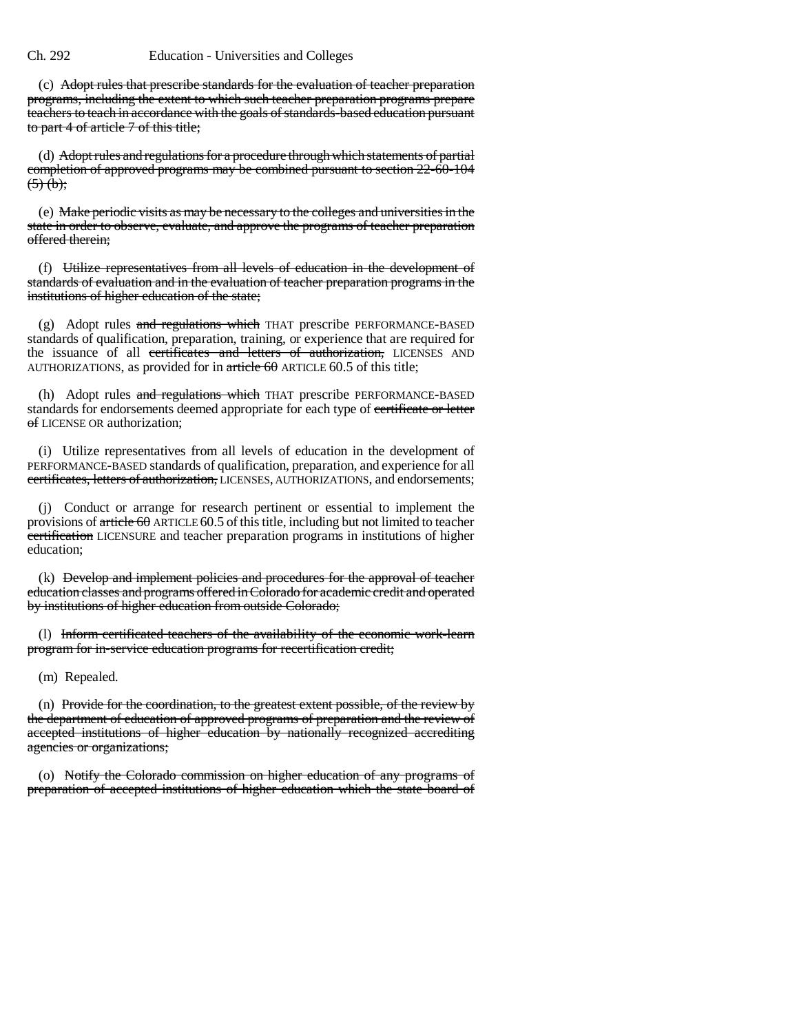## Ch. 292 Education - Universities and Colleges

(c) Adopt rules that prescribe standards for the evaluation of teacher preparation programs, including the extent to which such teacher preparation programs prepare teachers to teach in accordance with the goals of standards-based education pursuant to part 4 of article 7 of this title;

(d) Adopt rules and regulations for a procedure through which statements of partial completion of approved programs may be combined pursuant to section 22-60-104  $(5)$  (b);

(e) Make periodic visits as may be necessary to the colleges and universities in the state in order to observe, evaluate, and approve the programs of teacher preparation offered therein;

(f) Utilize representatives from all levels of education in the development of standards of evaluation and in the evaluation of teacher preparation programs in the institutions of higher education of the state;

(g) Adopt rules and regulations which THAT prescribe PERFORMANCE-BASED standards of qualification, preparation, training, or experience that are required for the issuance of all certificates and letters of authorization, LICENSES AND AUTHORIZATIONS, as provided for in  $\frac{\text{article } 60}{\text{ARTICE } 60.5}$  of this title;

(h) Adopt rules and regulations which THAT prescribe PERFORMANCE-BASED standards for endorsements deemed appropriate for each type of certificate or letter of LICENSE OR authorization;

(i) Utilize representatives from all levels of education in the development of PERFORMANCE-BASED standards of qualification, preparation, and experience for all certificates, letters of authorization, LICENSES, AUTHORIZATIONS, and endorsements;

(j) Conduct or arrange for research pertinent or essential to implement the provisions of article 60 ARTICLE 60.5 of this title, including but not limited to teacher certification LICENSURE and teacher preparation programs in institutions of higher education;

(k) Develop and implement policies and procedures for the approval of teacher education classes and programs offered in Colorado for academic credit and operated by institutions of higher education from outside Colorado;

(l) Inform certificated teachers of the availability of the economic work-learn program for in-service education programs for recertification credit;

(m) Repealed.

(n) Provide for the coordination, to the greatest extent possible, of the review by the department of education of approved programs of preparation and the review of accepted institutions of higher education by nationally recognized accrediting agencies or organizations;

(o) Notify the Colorado commission on higher education of any programs of preparation of accepted institutions of higher education which the state board of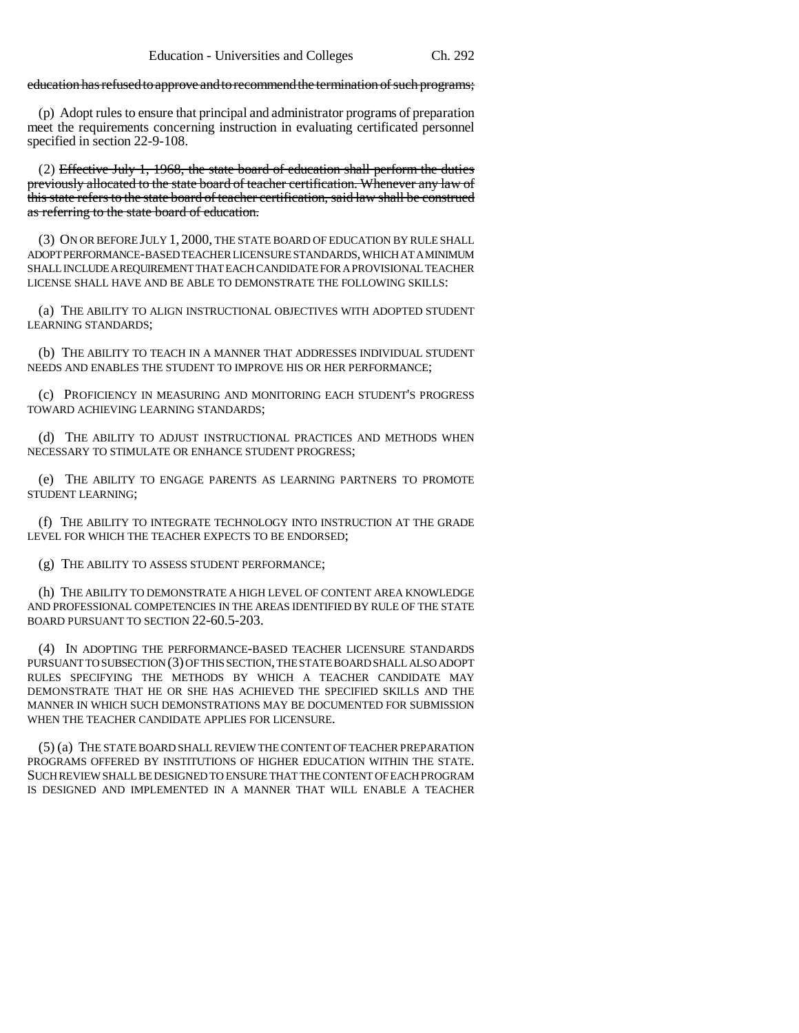education has refused to approve and to recommend the termination of such programs;

(p) Adopt rules to ensure that principal and administrator programs of preparation meet the requirements concerning instruction in evaluating certificated personnel specified in section 22-9-108.

(2) Effective July 1, 1968, the state board of education shall perform the duties previously allocated to the state board of teacher certification. Whenever any law of this state refers to the state board of teacher certification, said law shall be construed as referring to the state board of education.

(3) ON OR BEFORE JULY 1, 2000, THE STATE BOARD OF EDUCATION BY RULE SHALL ADOPT PERFORMANCE-BASED TEACHER LICENSURE STANDARDS, WHICH AT A MINIMUM SHALL INCLUDE A REQUIREMENT THAT EACH CANDIDATE FOR A PROVISIONAL TEACHER LICENSE SHALL HAVE AND BE ABLE TO DEMONSTRATE THE FOLLOWING SKILLS:

(a) THE ABILITY TO ALIGN INSTRUCTIONAL OBJECTIVES WITH ADOPTED STUDENT LEARNING STANDARDS;

(b) THE ABILITY TO TEACH IN A MANNER THAT ADDRESSES INDIVIDUAL STUDENT NEEDS AND ENABLES THE STUDENT TO IMPROVE HIS OR HER PERFORMANCE;

(c) PROFICIENCY IN MEASURING AND MONITORING EACH STUDENT'S PROGRESS TOWARD ACHIEVING LEARNING STANDARDS;

(d) THE ABILITY TO ADJUST INSTRUCTIONAL PRACTICES AND METHODS WHEN NECESSARY TO STIMULATE OR ENHANCE STUDENT PROGRESS;

(e) THE ABILITY TO ENGAGE PARENTS AS LEARNING PARTNERS TO PROMOTE STUDENT LEARNING;

(f) THE ABILITY TO INTEGRATE TECHNOLOGY INTO INSTRUCTION AT THE GRADE LEVEL FOR WHICH THE TEACHER EXPECTS TO BE ENDORSED;

(g) THE ABILITY TO ASSESS STUDENT PERFORMANCE;

(h) THE ABILITY TO DEMONSTRATE A HIGH LEVEL OF CONTENT AREA KNOWLEDGE AND PROFESSIONAL COMPETENCIES IN THE AREAS IDENTIFIED BY RULE OF THE STATE BOARD PURSUANT TO SECTION 22-60.5-203.

(4) IN ADOPTING THE PERFORMANCE-BASED TEACHER LICENSURE STANDARDS PURSUANT TO SUBSECTION (3) OF THIS SECTION, THE STATE BOARD SHALL ALSO ADOPT RULES SPECIFYING THE METHODS BY WHICH A TEACHER CANDIDATE MAY DEMONSTRATE THAT HE OR SHE HAS ACHIEVED THE SPECIFIED SKILLS AND THE MANNER IN WHICH SUCH DEMONSTRATIONS MAY BE DOCUMENTED FOR SUBMISSION WHEN THE TEACHER CANDIDATE APPLIES FOR LICENSURE.

(5) (a) THE STATE BOARD SHALL REVIEW THE CONTENT OF TEACHER PREPARATION PROGRAMS OFFERED BY INSTITUTIONS OF HIGHER EDUCATION WITHIN THE STATE. SUCH REVIEW SHALL BE DESIGNED TO ENSURE THAT THE CONTENT OF EACH PROGRAM IS DESIGNED AND IMPLEMENTED IN A MANNER THAT WILL ENABLE A TEACHER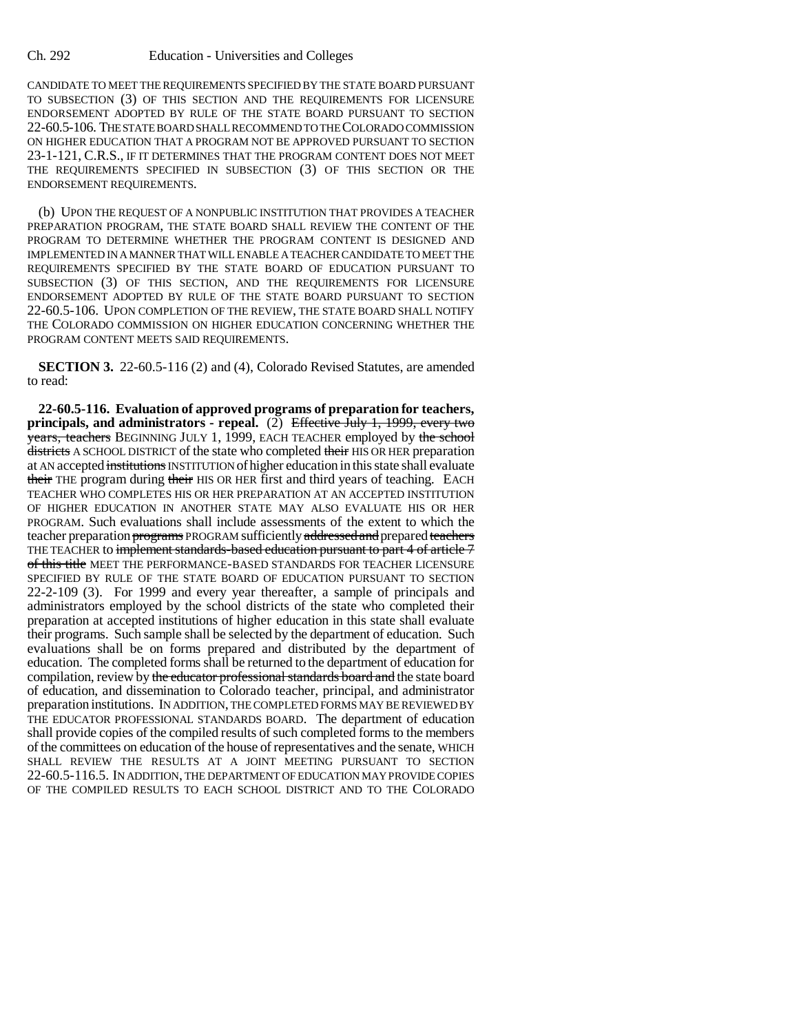CANDIDATE TO MEET THE REQUIREMENTS SPECIFIED BY THE STATE BOARD PURSUANT TO SUBSECTION (3) OF THIS SECTION AND THE REQUIREMENTS FOR LICENSURE ENDORSEMENT ADOPTED BY RULE OF THE STATE BOARD PURSUANT TO SECTION 22-60.5-106. THE STATE BOARD SHALL RECOMMEND TO THE COLORADO COMMISSION ON HIGHER EDUCATION THAT A PROGRAM NOT BE APPROVED PURSUANT TO SECTION 23-1-121, C.R.S., IF IT DETERMINES THAT THE PROGRAM CONTENT DOES NOT MEET THE REQUIREMENTS SPECIFIED IN SUBSECTION (3) OF THIS SECTION OR THE ENDORSEMENT REQUIREMENTS.

(b) UPON THE REQUEST OF A NONPUBLIC INSTITUTION THAT PROVIDES A TEACHER PREPARATION PROGRAM, THE STATE BOARD SHALL REVIEW THE CONTENT OF THE PROGRAM TO DETERMINE WHETHER THE PROGRAM CONTENT IS DESIGNED AND IMPLEMENTED IN A MANNER THAT WILL ENABLE A TEACHER CANDIDATE TO MEET THE REQUIREMENTS SPECIFIED BY THE STATE BOARD OF EDUCATION PURSUANT TO SUBSECTION (3) OF THIS SECTION, AND THE REQUIREMENTS FOR LICENSURE ENDORSEMENT ADOPTED BY RULE OF THE STATE BOARD PURSUANT TO SECTION 22-60.5-106. UPON COMPLETION OF THE REVIEW, THE STATE BOARD SHALL NOTIFY THE COLORADO COMMISSION ON HIGHER EDUCATION CONCERNING WHETHER THE PROGRAM CONTENT MEETS SAID REQUIREMENTS.

**SECTION 3.** 22-60.5-116 (2) and (4), Colorado Revised Statutes, are amended to read:

**22-60.5-116. Evaluation of approved programs of preparation for teachers, principals, and administrators - repeal.** (2) Effective July 1, 1999, every two years, teachers BEGINNING JULY 1, 1999, EACH TEACHER employed by the school districts A SCHOOL DISTRICT of the state who completed their HIS OR HER preparation at AN accepted institutions INSTITUTION of higher education in this state shall evaluate their THE program during their HIS OR HER first and third years of teaching. EACH TEACHER WHO COMPLETES HIS OR HER PREPARATION AT AN ACCEPTED INSTITUTION OF HIGHER EDUCATION IN ANOTHER STATE MAY ALSO EVALUATE HIS OR HER PROGRAM. Such evaluations shall include assessments of the extent to which the teacher preparation programs PROGRAM sufficiently addressed and prepared teachers THE TEACHER to implement standards-based education pursuant to part 4 of article 7 of this title MEET THE PERFORMANCE-BASED STANDARDS FOR TEACHER LICENSURE SPECIFIED BY RULE OF THE STATE BOARD OF EDUCATION PURSUANT TO SECTION 22-2-109 (3). For 1999 and every year thereafter, a sample of principals and administrators employed by the school districts of the state who completed their preparation at accepted institutions of higher education in this state shall evaluate their programs. Such sample shall be selected by the department of education. Such evaluations shall be on forms prepared and distributed by the department of education. The completed forms shall be returned to the department of education for compilation, review by the educator professional standards board and the state board of education, and dissemination to Colorado teacher, principal, and administrator preparation institutions. IN ADDITION, THE COMPLETED FORMS MAY BE REVIEWED BY THE EDUCATOR PROFESSIONAL STANDARDS BOARD. The department of education shall provide copies of the compiled results of such completed forms to the members of the committees on education of the house of representatives and the senate, WHICH SHALL REVIEW THE RESULTS AT A JOINT MEETING PURSUANT TO SECTION 22-60.5-116.5. IN ADDITION, THE DEPARTMENT OF EDUCATION MAY PROVIDE COPIES OF THE COMPILED RESULTS TO EACH SCHOOL DISTRICT AND TO THE COLORADO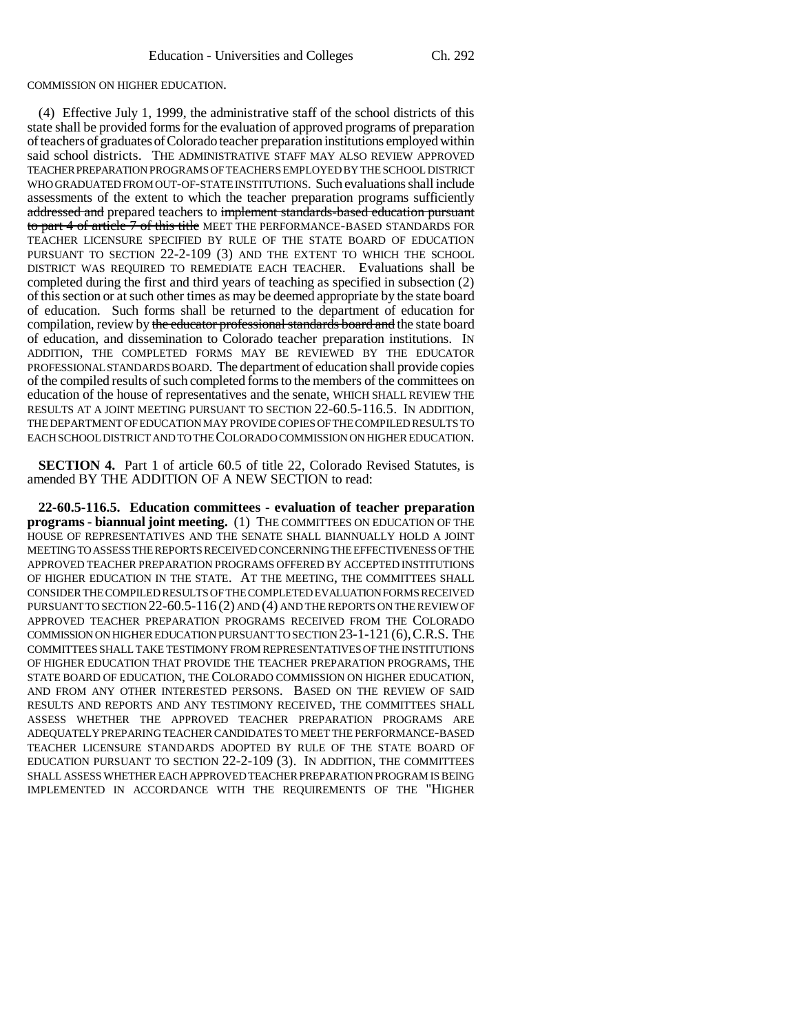COMMISSION ON HIGHER EDUCATION.

(4) Effective July 1, 1999, the administrative staff of the school districts of this state shall be provided forms for the evaluation of approved programs of preparation of teachers of graduates of Colorado teacher preparation institutions employed within said school districts. THE ADMINISTRATIVE STAFF MAY ALSO REVIEW APPROVED TEACHER PREPARATION PROGRAMS OF TEACHERS EMPLOYED BY THE SCHOOL DISTRICT WHO GRADUATED FROM OUT-OF-STATE INSTITUTIONS. Such evaluations shall include assessments of the extent to which the teacher preparation programs sufficiently addressed and prepared teachers to implement standards-based education pursuant to part 4 of article 7 of this title MEET THE PERFORMANCE-BASED STANDARDS FOR TEACHER LICENSURE SPECIFIED BY RULE OF THE STATE BOARD OF EDUCATION PURSUANT TO SECTION 22-2-109 (3) AND THE EXTENT TO WHICH THE SCHOOL DISTRICT WAS REQUIRED TO REMEDIATE EACH TEACHER. Evaluations shall be completed during the first and third years of teaching as specified in subsection (2) of this section or at such other times as may be deemed appropriate by the state board of education. Such forms shall be returned to the department of education for compilation, review by the educator professional standards board and the state board of education, and dissemination to Colorado teacher preparation institutions. IN ADDITION, THE COMPLETED FORMS MAY BE REVIEWED BY THE EDUCATOR PROFESSIONAL STANDARDS BOARD. The department of education shall provide copies of the compiled results of such completed forms to the members of the committees on education of the house of representatives and the senate, WHICH SHALL REVIEW THE RESULTS AT A JOINT MEETING PURSUANT TO SECTION 22-60.5-116.5. IN ADDITION, THE DEPARTMENT OF EDUCATION MAY PROVIDE COPIES OF THE COMPILED RESULTS TO EACH SCHOOL DISTRICT AND TO THE COLORADO COMMISSION ON HIGHER EDUCATION.

**SECTION 4.** Part 1 of article 60.5 of title 22, Colorado Revised Statutes, is amended BY THE ADDITION OF A NEW SECTION to read:

**22-60.5-116.5. Education committees - evaluation of teacher preparation programs - biannual joint meeting.** (1) THE COMMITTEES ON EDUCATION OF THE HOUSE OF REPRESENTATIVES AND THE SENATE SHALL BIANNUALLY HOLD A JOINT MEETING TO ASSESS THE REPORTS RECEIVED CONCERNING THE EFFECTIVENESS OF THE APPROVED TEACHER PREPARATION PROGRAMS OFFERED BY ACCEPTED INSTITUTIONS OF HIGHER EDUCATION IN THE STATE. AT THE MEETING, THE COMMITTEES SHALL CONSIDER THE COMPILED RESULTS OF THE COMPLETED EVALUATION FORMS RECEIVED PURSUANT TO SECTION 22-60.5-116 (2) AND (4) AND THE REPORTS ON THE REVIEW OF APPROVED TEACHER PREPARATION PROGRAMS RECEIVED FROM THE COLORADO COMMISSION ON HIGHER EDUCATION PURSUANT TO SECTION 23-1-121(6),C.R.S. THE COMMITTEES SHALL TAKE TESTIMONY FROM REPRESENTATIVES OF THE INSTITUTIONS OF HIGHER EDUCATION THAT PROVIDE THE TEACHER PREPARATION PROGRAMS, THE STATE BOARD OF EDUCATION, THE COLORADO COMMISSION ON HIGHER EDUCATION, AND FROM ANY OTHER INTERESTED PERSONS. BASED ON THE REVIEW OF SAID RESULTS AND REPORTS AND ANY TESTIMONY RECEIVED, THE COMMITTEES SHALL ASSESS WHETHER THE APPROVED TEACHER PREPARATION PROGRAMS ARE ADEQUATELY PREPARING TEACHER CANDIDATES TO MEET THE PERFORMANCE-BASED TEACHER LICENSURE STANDARDS ADOPTED BY RULE OF THE STATE BOARD OF EDUCATION PURSUANT TO SECTION 22-2-109 (3). IN ADDITION, THE COMMITTEES SHALL ASSESS WHETHER EACH APPROVED TEACHER PREPARATION PROGRAM IS BEING IMPLEMENTED IN ACCORDANCE WITH THE REQUIREMENTS OF THE "HIGHER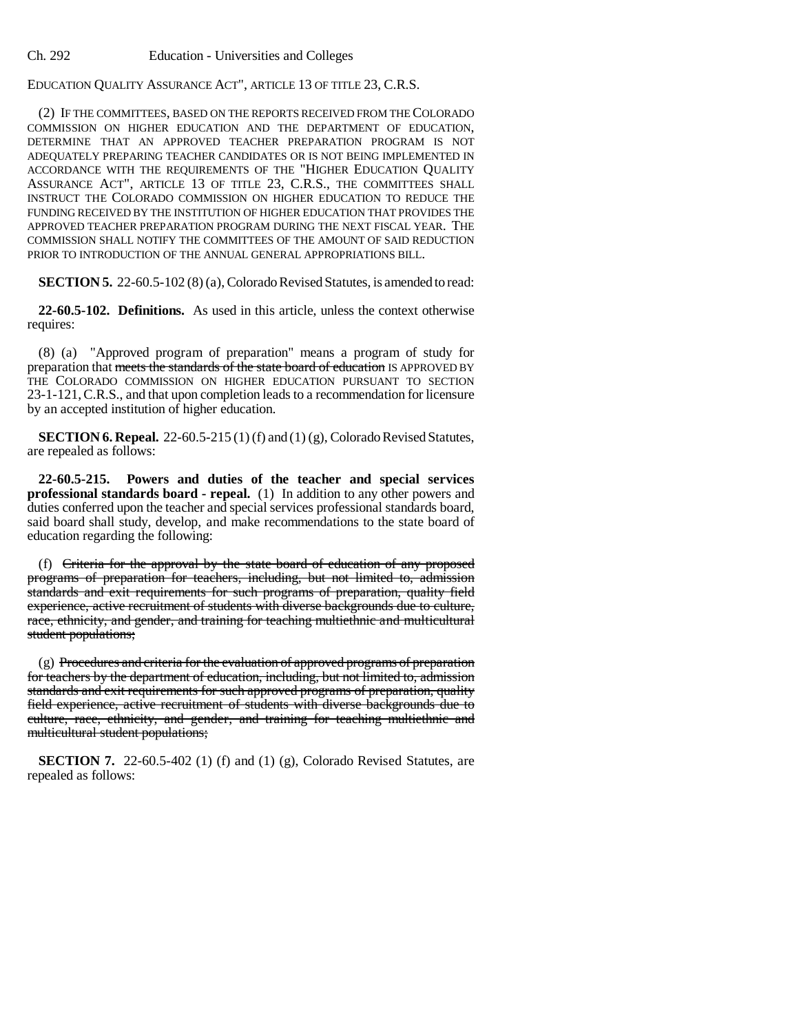EDUCATION QUALITY ASSURANCE ACT", ARTICLE 13 OF TITLE 23, C.R.S.

(2) IF THE COMMITTEES, BASED ON THE REPORTS RECEIVED FROM THE COLORADO COMMISSION ON HIGHER EDUCATION AND THE DEPARTMENT OF EDUCATION, DETERMINE THAT AN APPROVED TEACHER PREPARATION PROGRAM IS NOT ADEQUATELY PREPARING TEACHER CANDIDATES OR IS NOT BEING IMPLEMENTED IN ACCORDANCE WITH THE REQUIREMENTS OF THE "HIGHER EDUCATION QUALITY ASSURANCE ACT", ARTICLE 13 OF TITLE 23, C.R.S., THE COMMITTEES SHALL INSTRUCT THE COLORADO COMMISSION ON HIGHER EDUCATION TO REDUCE THE FUNDING RECEIVED BY THE INSTITUTION OF HIGHER EDUCATION THAT PROVIDES THE APPROVED TEACHER PREPARATION PROGRAM DURING THE NEXT FISCAL YEAR. THE COMMISSION SHALL NOTIFY THE COMMITTEES OF THE AMOUNT OF SAID REDUCTION PRIOR TO INTRODUCTION OF THE ANNUAL GENERAL APPROPRIATIONS BILL.

**SECTION 5.** 22-60.5-102 (8) (a), Colorado Revised Statutes, is amended to read:

**22-60.5-102. Definitions.** As used in this article, unless the context otherwise requires:

(8) (a) "Approved program of preparation" means a program of study for preparation that meets the standards of the state board of education IS APPROVED BY THE COLORADO COMMISSION ON HIGHER EDUCATION PURSUANT TO SECTION 23-1-121,C.R.S., and that upon completion leads to a recommendation for licensure by an accepted institution of higher education.

**SECTION 6. Repeal.** 22-60.5-215 (1) (f) and (1) (g), Colorado Revised Statutes, are repealed as follows:

**22-60.5-215. Powers and duties of the teacher and special services professional standards board - repeal.** (1) In addition to any other powers and duties conferred upon the teacher and special services professional standards board, said board shall study, develop, and make recommendations to the state board of education regarding the following:

(f) Criteria for the approval by the state board of education of any proposed programs of preparation for teachers, including, but not limited to, admission standards and exit requirements for such programs of preparation, quality field experience, active recruitment of students with diverse backgrounds due to culture, race, ethnicity, and gender, and training for teaching multiethnic and multicultural student populations;

(g) Procedures and criteria for the evaluation of approved programs of preparation for teachers by the department of education, including, but not limited to, admission standards and exit requirements for such approved programs of preparation, quality field experience, active recruitment of students with diverse backgrounds due to culture, race, ethnicity, and gender, and training for teaching multiethnic and multicultural student populations;

**SECTION 7.** 22-60.5-402 (1) (f) and (1) (g), Colorado Revised Statutes, are repealed as follows: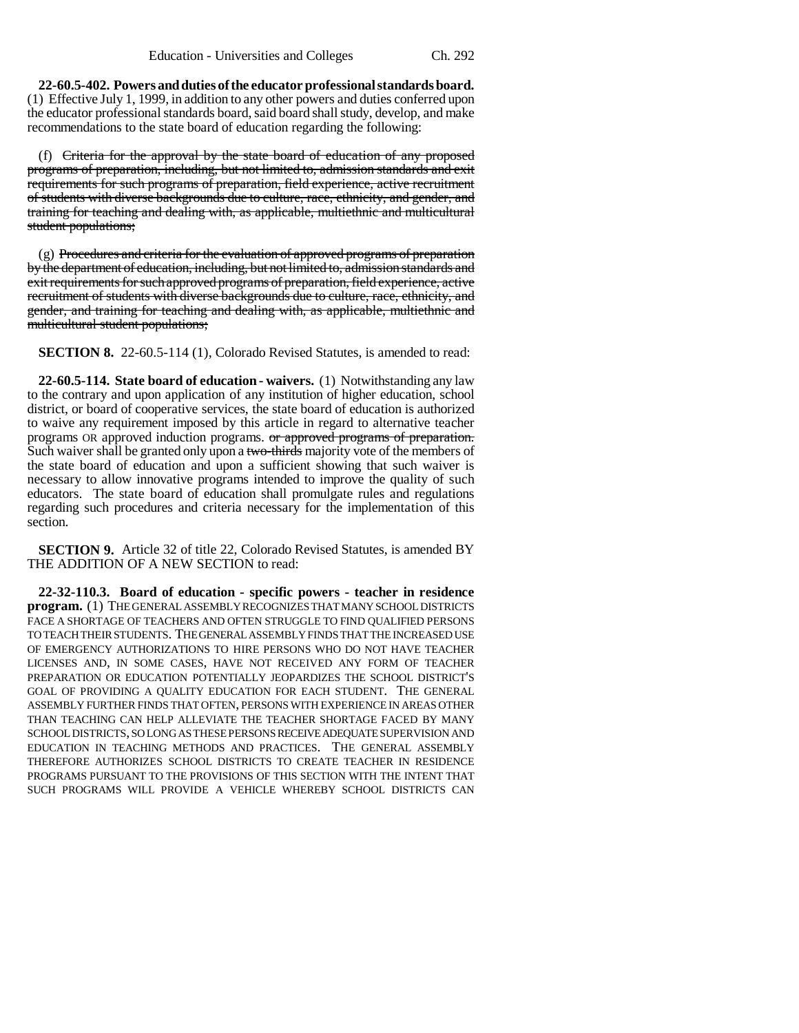**22-60.5-402. Powers and duties of the educator professional standards board.** (1) Effective July 1, 1999, in addition to any other powers and duties conferred upon the educator professional standards board, said board shall study, develop, and make recommendations to the state board of education regarding the following:

(f) Criteria for the approval by the state board of education of any proposed programs of preparation, including, but not limited to, admission standards and exit requirements for such programs of preparation, field experience, active recruitment of students with diverse backgrounds due to culture, race, ethnicity, and gender, and training for teaching and dealing with, as applicable, multiethnic and multicultural student populations;

 $(g)$  Procedures and criteria for the evaluation of approved programs of preparation by the department of education, including, but not limited to, admission standards and exit requirements for such approved programs of preparation, field experience, active recruitment of students with diverse backgrounds due to culture, race, ethnicity, and gender, and training for teaching and dealing with, as applicable, multiethnic and multicultural student populations;

**SECTION 8.** 22-60.5-114 (1), Colorado Revised Statutes, is amended to read:

**22-60.5-114. State board of education - waivers.** (1) Notwithstanding any law to the contrary and upon application of any institution of higher education, school district, or board of cooperative services, the state board of education is authorized to waive any requirement imposed by this article in regard to alternative teacher programs OR approved induction programs. or approved programs of preparation. Such waiver shall be granted only upon a two-thirds majority vote of the members of the state board of education and upon a sufficient showing that such waiver is necessary to allow innovative programs intended to improve the quality of such educators. The state board of education shall promulgate rules and regulations regarding such procedures and criteria necessary for the implementation of this section.

**SECTION 9.** Article 32 of title 22, Colorado Revised Statutes, is amended BY THE ADDITION OF A NEW SECTION to read:

**22-32-110.3. Board of education - specific powers - teacher in residence program.** (1) THE GENERAL ASSEMBLY RECOGNIZES THAT MANY SCHOOL DISTRICTS FACE A SHORTAGE OF TEACHERS AND OFTEN STRUGGLE TO FIND QUALIFIED PERSONS TO TEACH THEIR STUDENTS. THE GENERAL ASSEMBLY FINDS THAT THE INCREASED USE OF EMERGENCY AUTHORIZATIONS TO HIRE PERSONS WHO DO NOT HAVE TEACHER LICENSES AND, IN SOME CASES, HAVE NOT RECEIVED ANY FORM OF TEACHER PREPARATION OR EDUCATION POTENTIALLY JEOPARDIZES THE SCHOOL DISTRICT'S GOAL OF PROVIDING A QUALITY EDUCATION FOR EACH STUDENT. THE GENERAL ASSEMBLY FURTHER FINDS THAT OFTEN, PERSONS WITH EXPERIENCE IN AREAS OTHER THAN TEACHING CAN HELP ALLEVIATE THE TEACHER SHORTAGE FACED BY MANY SCHOOL DISTRICTS, SO LONG AS THESE PERSONS RECEIVE ADEQUATE SUPERVISION AND EDUCATION IN TEACHING METHODS AND PRACTICES. THE GENERAL ASSEMBLY THEREFORE AUTHORIZES SCHOOL DISTRICTS TO CREATE TEACHER IN RESIDENCE PROGRAMS PURSUANT TO THE PROVISIONS OF THIS SECTION WITH THE INTENT THAT SUCH PROGRAMS WILL PROVIDE A VEHICLE WHEREBY SCHOOL DISTRICTS CAN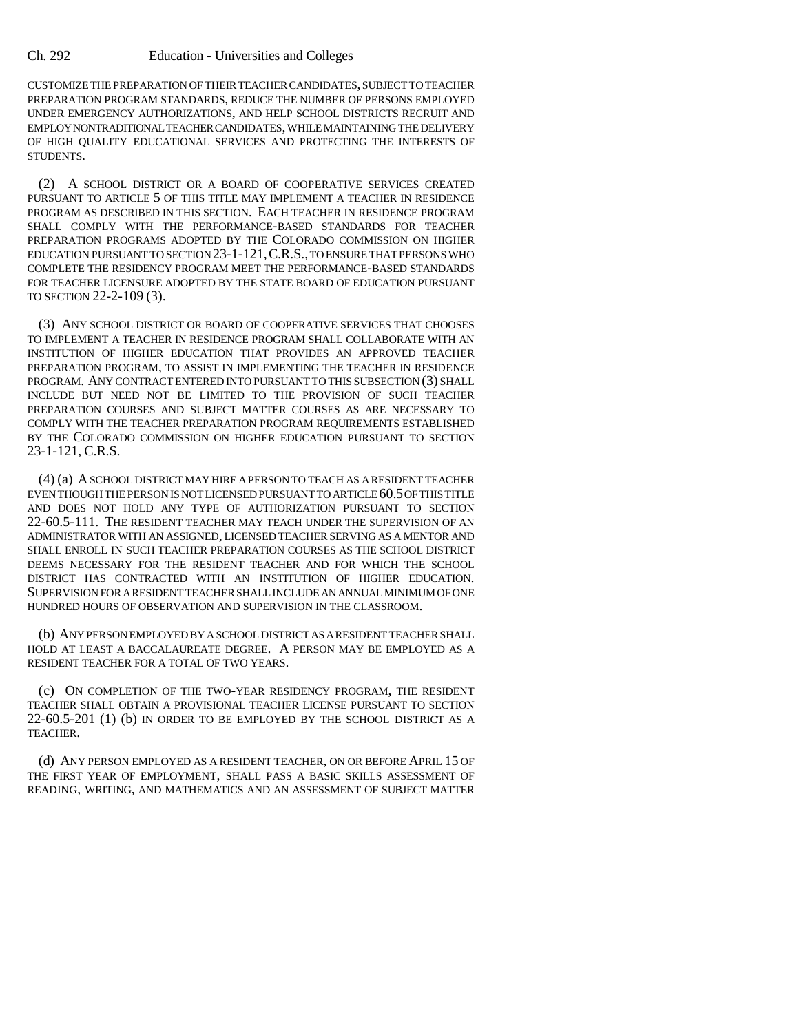CUSTOMIZE THE PREPARATION OF THEIR TEACHER CANDIDATES, SUBJECT TO TEACHER PREPARATION PROGRAM STANDARDS, REDUCE THE NUMBER OF PERSONS EMPLOYED UNDER EMERGENCY AUTHORIZATIONS, AND HELP SCHOOL DISTRICTS RECRUIT AND EMPLOY NONTRADITIONAL TEACHER CANDIDATES, WHILE MAINTAINING THE DELIVERY OF HIGH QUALITY EDUCATIONAL SERVICES AND PROTECTING THE INTERESTS OF STUDENTS.

(2) A SCHOOL DISTRICT OR A BOARD OF COOPERATIVE SERVICES CREATED PURSUANT TO ARTICLE 5 OF THIS TITLE MAY IMPLEMENT A TEACHER IN RESIDENCE PROGRAM AS DESCRIBED IN THIS SECTION. EACH TEACHER IN RESIDENCE PROGRAM SHALL COMPLY WITH THE PERFORMANCE-BASED STANDARDS FOR TEACHER PREPARATION PROGRAMS ADOPTED BY THE COLORADO COMMISSION ON HIGHER EDUCATION PURSUANT TO SECTION 23-1-121,C.R.S., TO ENSURE THAT PERSONS WHO COMPLETE THE RESIDENCY PROGRAM MEET THE PERFORMANCE-BASED STANDARDS FOR TEACHER LICENSURE ADOPTED BY THE STATE BOARD OF EDUCATION PURSUANT TO SECTION 22-2-109 (3).

(3) ANY SCHOOL DISTRICT OR BOARD OF COOPERATIVE SERVICES THAT CHOOSES TO IMPLEMENT A TEACHER IN RESIDENCE PROGRAM SHALL COLLABORATE WITH AN INSTITUTION OF HIGHER EDUCATION THAT PROVIDES AN APPROVED TEACHER PREPARATION PROGRAM, TO ASSIST IN IMPLEMENTING THE TEACHER IN RESIDENCE PROGRAM. ANY CONTRACT ENTERED INTO PURSUANT TO THIS SUBSECTION (3) SHALL INCLUDE BUT NEED NOT BE LIMITED TO THE PROVISION OF SUCH TEACHER PREPARATION COURSES AND SUBJECT MATTER COURSES AS ARE NECESSARY TO COMPLY WITH THE TEACHER PREPARATION PROGRAM REQUIREMENTS ESTABLISHED BY THE COLORADO COMMISSION ON HIGHER EDUCATION PURSUANT TO SECTION 23-1-121, C.R.S.

(4) (a) A SCHOOL DISTRICT MAY HIRE A PERSON TO TEACH AS A RESIDENT TEACHER EVEN THOUGH THE PERSON IS NOT LICENSED PURSUANT TO ARTICLE 60.5 OF THIS TITLE AND DOES NOT HOLD ANY TYPE OF AUTHORIZATION PURSUANT TO SECTION 22-60.5-111. THE RESIDENT TEACHER MAY TEACH UNDER THE SUPERVISION OF AN ADMINISTRATOR WITH AN ASSIGNED, LICENSED TEACHER SERVING AS A MENTOR AND SHALL ENROLL IN SUCH TEACHER PREPARATION COURSES AS THE SCHOOL DISTRICT DEEMS NECESSARY FOR THE RESIDENT TEACHER AND FOR WHICH THE SCHOOL DISTRICT HAS CONTRACTED WITH AN INSTITUTION OF HIGHER EDUCATION. SUPERVISION FOR A RESIDENT TEACHER SHALL INCLUDE AN ANNUAL MINIMUM OF ONE HUNDRED HOURS OF OBSERVATION AND SUPERVISION IN THE CLASSROOM.

(b) ANY PERSON EMPLOYED BY A SCHOOL DISTRICT AS A RESIDENT TEACHER SHALL HOLD AT LEAST A BACCALAUREATE DEGREE. A PERSON MAY BE EMPLOYED AS A RESIDENT TEACHER FOR A TOTAL OF TWO YEARS.

(c) ON COMPLETION OF THE TWO-YEAR RESIDENCY PROGRAM, THE RESIDENT TEACHER SHALL OBTAIN A PROVISIONAL TEACHER LICENSE PURSUANT TO SECTION 22-60.5-201 (1) (b) IN ORDER TO BE EMPLOYED BY THE SCHOOL DISTRICT AS A TEACHER.

(d) ANY PERSON EMPLOYED AS A RESIDENT TEACHER, ON OR BEFORE APRIL 15 OF THE FIRST YEAR OF EMPLOYMENT, SHALL PASS A BASIC SKILLS ASSESSMENT OF READING, WRITING, AND MATHEMATICS AND AN ASSESSMENT OF SUBJECT MATTER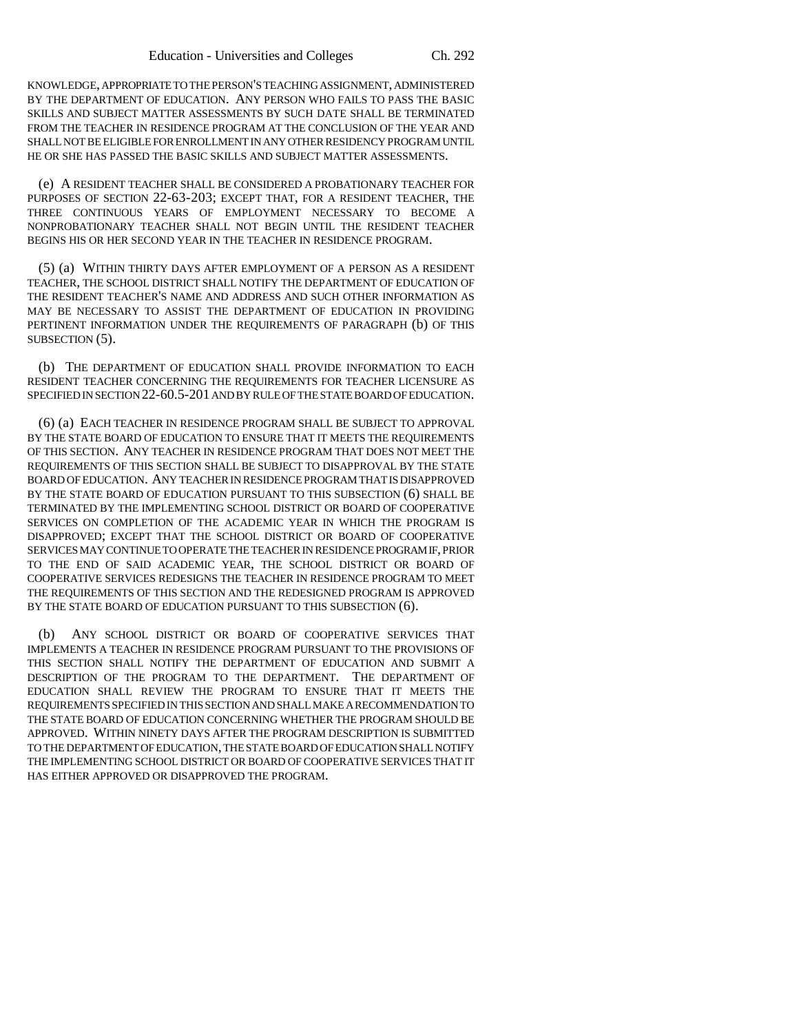KNOWLEDGE, APPROPRIATE TO THE PERSON'S TEACHING ASSIGNMENT, ADMINISTERED BY THE DEPARTMENT OF EDUCATION. ANY PERSON WHO FAILS TO PASS THE BASIC SKILLS AND SUBJECT MATTER ASSESSMENTS BY SUCH DATE SHALL BE TERMINATED FROM THE TEACHER IN RESIDENCE PROGRAM AT THE CONCLUSION OF THE YEAR AND SHALL NOT BE ELIGIBLE FOR ENROLLMENT IN ANY OTHER RESIDENCY PROGRAM UNTIL HE OR SHE HAS PASSED THE BASIC SKILLS AND SUBJECT MATTER ASSESSMENTS.

(e) A RESIDENT TEACHER SHALL BE CONSIDERED A PROBATIONARY TEACHER FOR PURPOSES OF SECTION 22-63-203; EXCEPT THAT, FOR A RESIDENT TEACHER, THE THREE CONTINUOUS YEARS OF EMPLOYMENT NECESSARY TO BECOME A NONPROBATIONARY TEACHER SHALL NOT BEGIN UNTIL THE RESIDENT TEACHER BEGINS HIS OR HER SECOND YEAR IN THE TEACHER IN RESIDENCE PROGRAM.

(5) (a) WITHIN THIRTY DAYS AFTER EMPLOYMENT OF A PERSON AS A RESIDENT TEACHER, THE SCHOOL DISTRICT SHALL NOTIFY THE DEPARTMENT OF EDUCATION OF THE RESIDENT TEACHER'S NAME AND ADDRESS AND SUCH OTHER INFORMATION AS MAY BE NECESSARY TO ASSIST THE DEPARTMENT OF EDUCATION IN PROVIDING PERTINENT INFORMATION UNDER THE REQUIREMENTS OF PARAGRAPH (b) OF THIS SUBSECTION (5).

(b) THE DEPARTMENT OF EDUCATION SHALL PROVIDE INFORMATION TO EACH RESIDENT TEACHER CONCERNING THE REQUIREMENTS FOR TEACHER LICENSURE AS SPECIFIED IN SECTION 22-60.5-201 AND BY RULE OF THE STATE BOARD OF EDUCATION.

(6) (a) EACH TEACHER IN RESIDENCE PROGRAM SHALL BE SUBJECT TO APPROVAL BY THE STATE BOARD OF EDUCATION TO ENSURE THAT IT MEETS THE REQUIREMENTS OF THIS SECTION. ANY TEACHER IN RESIDENCE PROGRAM THAT DOES NOT MEET THE REQUIREMENTS OF THIS SECTION SHALL BE SUBJECT TO DISAPPROVAL BY THE STATE BOARD OF EDUCATION. ANY TEACHER IN RESIDENCE PROGRAM THAT IS DISAPPROVED BY THE STATE BOARD OF EDUCATION PURSUANT TO THIS SUBSECTION (6) SHALL BE TERMINATED BY THE IMPLEMENTING SCHOOL DISTRICT OR BOARD OF COOPERATIVE SERVICES ON COMPLETION OF THE ACADEMIC YEAR IN WHICH THE PROGRAM IS DISAPPROVED; EXCEPT THAT THE SCHOOL DISTRICT OR BOARD OF COOPERATIVE SERVICES MAY CONTINUE TO OPERATE THE TEACHER IN RESIDENCE PROGRAM IF, PRIOR TO THE END OF SAID ACADEMIC YEAR, THE SCHOOL DISTRICT OR BOARD OF COOPERATIVE SERVICES REDESIGNS THE TEACHER IN RESIDENCE PROGRAM TO MEET THE REQUIREMENTS OF THIS SECTION AND THE REDESIGNED PROGRAM IS APPROVED BY THE STATE BOARD OF EDUCATION PURSUANT TO THIS SUBSECTION (6).

(b) ANY SCHOOL DISTRICT OR BOARD OF COOPERATIVE SERVICES THAT IMPLEMENTS A TEACHER IN RESIDENCE PROGRAM PURSUANT TO THE PROVISIONS OF THIS SECTION SHALL NOTIFY THE DEPARTMENT OF EDUCATION AND SUBMIT A DESCRIPTION OF THE PROGRAM TO THE DEPARTMENT. THE DEPARTMENT OF EDUCATION SHALL REVIEW THE PROGRAM TO ENSURE THAT IT MEETS THE REQUIREMENTS SPECIFIED IN THIS SECTION AND SHALL MAKE A RECOMMENDATION TO THE STATE BOARD OF EDUCATION CONCERNING WHETHER THE PROGRAM SHOULD BE APPROVED. WITHIN NINETY DAYS AFTER THE PROGRAM DESCRIPTION IS SUBMITTED TO THE DEPARTMENT OF EDUCATION, THE STATE BOARD OF EDUCATION SHALL NOTIFY THE IMPLEMENTING SCHOOL DISTRICT OR BOARD OF COOPERATIVE SERVICES THAT IT HAS EITHER APPROVED OR DISAPPROVED THE PROGRAM.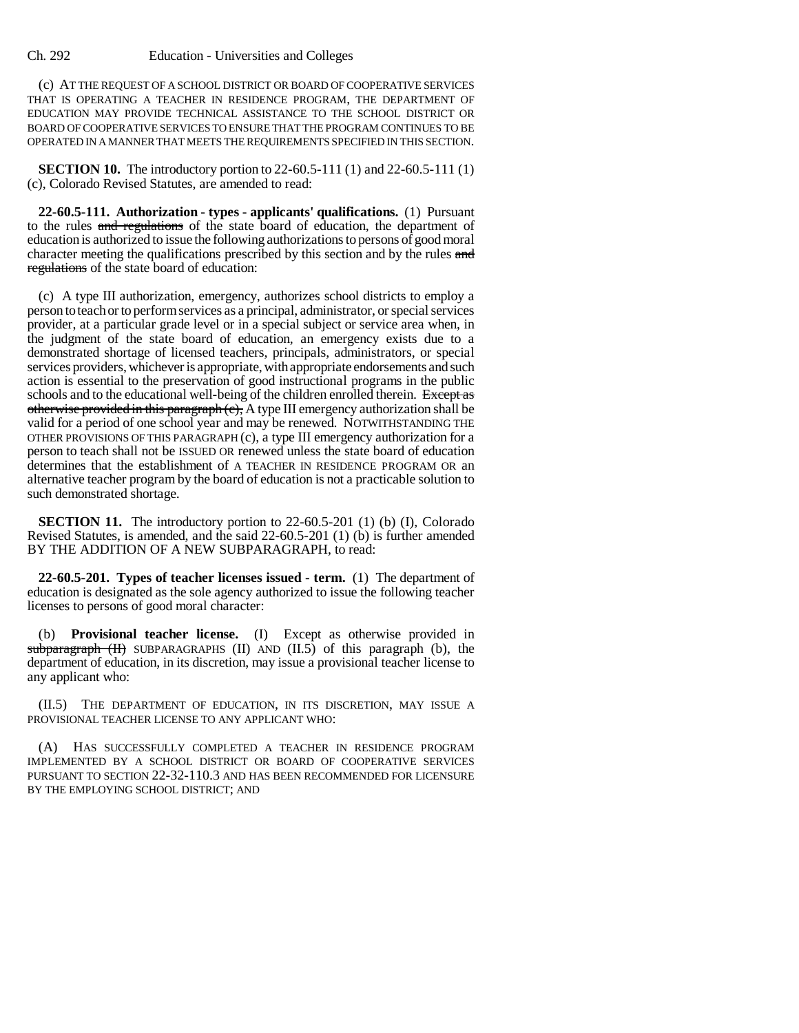## Ch. 292 Education - Universities and Colleges

(c) AT THE REQUEST OF A SCHOOL DISTRICT OR BOARD OF COOPERATIVE SERVICES THAT IS OPERATING A TEACHER IN RESIDENCE PROGRAM, THE DEPARTMENT OF EDUCATION MAY PROVIDE TECHNICAL ASSISTANCE TO THE SCHOOL DISTRICT OR BOARD OF COOPERATIVE SERVICES TO ENSURE THAT THE PROGRAM CONTINUES TO BE OPERATED IN A MANNER THAT MEETS THE REQUIREMENTS SPECIFIED IN THIS SECTION.

**SECTION 10.** The introductory portion to 22-60.5-111 (1) and 22-60.5-111 (1) (c), Colorado Revised Statutes, are amended to read:

**22-60.5-111. Authorization - types - applicants' qualifications.** (1) Pursuant to the rules and regulations of the state board of education, the department of education is authorized to issue the following authorizations to persons of good moral character meeting the qualifications prescribed by this section and by the rules and regulations of the state board of education:

(c) A type III authorization, emergency, authorizes school districts to employ a person to teach or to perform services as a principal, administrator, or special services provider, at a particular grade level or in a special subject or service area when, in the judgment of the state board of education, an emergency exists due to a demonstrated shortage of licensed teachers, principals, administrators, or special services providers, whichever is appropriate, with appropriate endorsements and such action is essential to the preservation of good instructional programs in the public schools and to the educational well-being of the children enrolled therein. Except as otherwise provided in this paragraph  $(e)$ , A type III emergency authorization shall be valid for a period of one school year and may be renewed. NOTWITHSTANDING THE OTHER PROVISIONS OF THIS PARAGRAPH (c), a type III emergency authorization for a person to teach shall not be ISSUED OR renewed unless the state board of education determines that the establishment of A TEACHER IN RESIDENCE PROGRAM OR an alternative teacher program by the board of education is not a practicable solution to such demonstrated shortage.

**SECTION 11.** The introductory portion to 22-60.5-201 (1) (b) (I), Colorado Revised Statutes, is amended, and the said 22-60.5-201 (1) (b) is further amended BY THE ADDITION OF A NEW SUBPARAGRAPH, to read:

**22-60.5-201. Types of teacher licenses issued - term.** (1) The department of education is designated as the sole agency authorized to issue the following teacher licenses to persons of good moral character:

(b) **Provisional teacher license.** (I) Except as otherwise provided in subparagraph  $(H)$  SUBPARAGRAPHS  $(II)$  AND  $(II.5)$  of this paragraph (b), the department of education, in its discretion, may issue a provisional teacher license to any applicant who:

(II.5) THE DEPARTMENT OF EDUCATION, IN ITS DISCRETION, MAY ISSUE A PROVISIONAL TEACHER LICENSE TO ANY APPLICANT WHO:

(A) HAS SUCCESSFULLY COMPLETED A TEACHER IN RESIDENCE PROGRAM IMPLEMENTED BY A SCHOOL DISTRICT OR BOARD OF COOPERATIVE SERVICES PURSUANT TO SECTION 22-32-110.3 AND HAS BEEN RECOMMENDED FOR LICENSURE BY THE EMPLOYING SCHOOL DISTRICT; AND